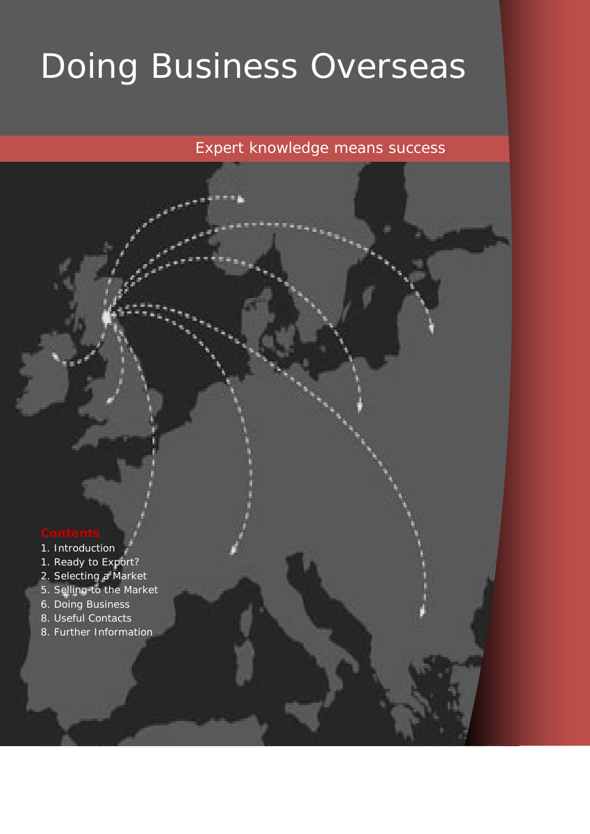# Doing Business Overseas

*Expert knowledge means success* 

- 1. Introduction
- 1. Ready to Export?
- 2. Selecting a Market
- 5. Selling to the Market
- 6. Doing Business
- 8. Useful Contacts
- 8. Further Information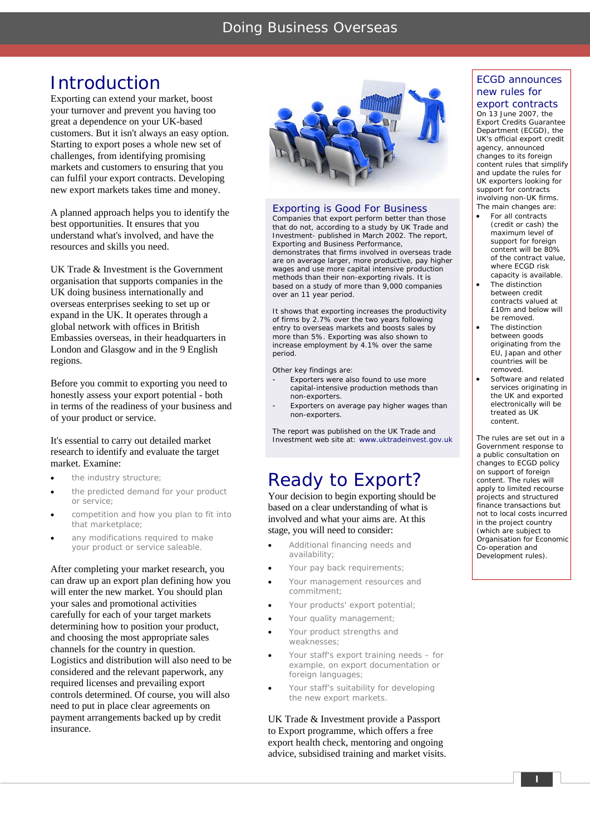### Doing Business Overseas

### Introduction

Exporting can extend your market, boost your turnover and prevent you having too great a dependence on your UK-based customers. But it isn't always an easy option. Starting to export poses a whole new set of challenges, from identifying promising markets and customers to ensuring that you can fulfil your export contracts. Developing new export markets takes time and money.

A planned approach helps you to identify the best opportunities. It ensures that you understand what's involved, and have the resources and skills you need.

UK Trade & Investment is the Government organisation that supports companies in the UK doing business internationally and overseas enterprises seeking to set up or expand in the UK. It operates through a global network with offices in British Embassies overseas, in their headquarters in London and Glasgow and in the 9 English regions.

Before you commit to exporting you need to honestly assess your export potential - both in terms of the readiness of your business and of your product or service.

### It's essential to carry out detailed market research to identify and evaluate the target market. Examine:

- the industry structure:
- the predicted demand for your product or service;
- competition and how you plan to fit into that marketplace;
- any modifications required to make your product or service saleable.

After completing your market research, you can draw up an export plan defining how you will enter the new market. You should plan your sales and promotional activities carefully for each of your target markets determining how to position your product, and choosing the most appropriate sales channels for the country in question. Logistics and distribution will also need to be considered and the relevant paperwork, any required licenses and prevailing export controls determined. Of course, you will also need to put in place clear agreements on payment arrangements backed up by credit insurance.



### Exporting is Good For Business

Companies that export perform better than those that do not, according to a study by UK Trade and Investment- published in March 2002. The report, *Exporting and Business Performance,* demonstrates that firms involved in overseas trade are on average larger, more productive, pay higher wages and use more capital intensive production methods than their non-exporting rivals. It is based on a study of more than 9,000 companies over an 11 year period.

It shows that exporting increases the productivity of firms by 2.7% over the two years following entry to overseas markets and boosts sales by more than 5%. Exporting was also shown to increase employment by 4.1% over the same period.

Other key findings are:

- Exporters were also found to use more capital-intensive production methods than non-exporters.
- Exporters on average pay higher wages than non-exporters.

The report was published on the UK Trade and Investment web site at: www.uktradeinvest.gov.uk

### Ready to Export?

Your decision to begin exporting should be based on a clear understanding of what is involved and what your aims are. At this stage, you will need to consider:

- Additional financing needs and availability;
- Your pay back requirements;
- Your management resources and commitment;
- Your products' export potential;
- Your quality management;
- Your product strengths and weaknesses;
- Your staff's export training needs for example, on export documentation or foreign languages;
- Your staff's suitability for developing the new export markets.

UK Trade & Investment provide a Passport to Export programme, which offers a free export health check, mentoring and ongoing advice, subsidised training and market visits.

### ECGD announces new rules for

### export contracts

On 13 June 2007, the Export Credits Guarantee Department (ECGD), the UK's official export credit agency, announced changes to its foreign content rules that simplify and update the rules for UK exporters looking for support for contracts involving non-UK firms. The main changes are:

- For all contracts (credit or cash) the maximum level of support for foreign content will be 80% of the contract value, where ECGD risk capacity is available.
- The distinction between credit contracts valued at £10m and below will be removed.
- The distinction between goods originating from the EU, Japan and other countries will be removed.
- Software and related services originating in the UK and exported electronically will be treated as UK content.

The rules are set out in a Government response to a public consultation on changes to ECGD policy on support of foreign content. The rules will apply to limited recourse projects and structured finance transactions but not to local costs incurred in the project country (which are subject to Organisation for Economic Co-operation and Development rules).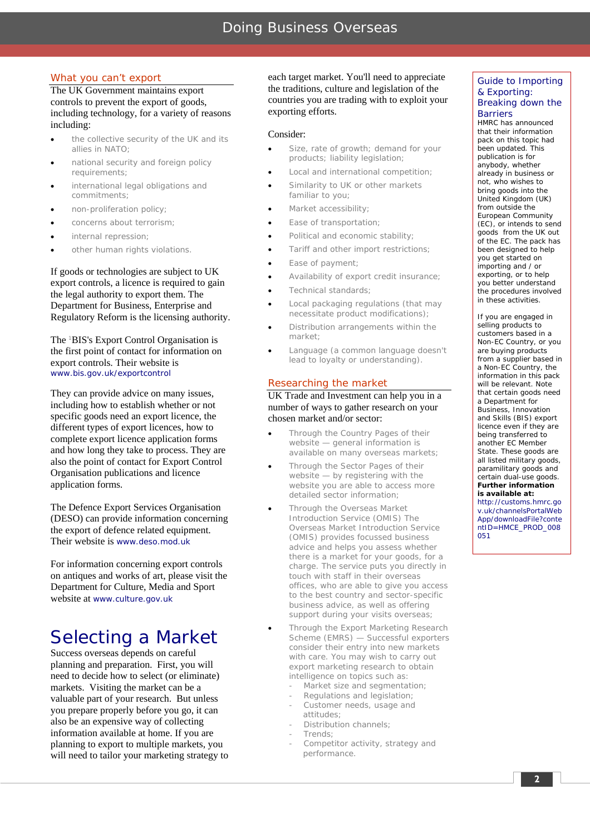### What you can't export

The UK Government maintains export controls to prevent the export of goods, including technology, for a variety of reasons including:

- the collective security of the UK and its allies in NATO;
- national security and foreign policy requirements;
- international legal obligations and commitments;
- non-proliferation policy;
- concerns about terrorism;
- internal repression;
- other human rights violations.

If goods or technologies are subject to UK export controls, a licence is required to gain the legal authority to export them. The Department for Business, Enterprise and Regulatory Reform is the licensing authority.

The <sup>1</sup> BIS's Export Control Organisation is the first point of contact for information on export controls. Their website is www.bis.gov.uk/exportcontrol

They can provide advice on many issues, including how to establish whether or not specific goods need an export licence, the different types of export licences, how to complete export licence application forms and how long they take to process. They are also the point of contact for Export Control Organisation publications and licence application forms.

The Defence Export Services Organisation (DESO) can provide information concerning the export of defence related equipment. Their website is www.deso.mod.uk

For information concerning export controls on antiques and works of art, please visit the Department for Culture, Media and Sport website at www.culture.gov.uk

### Selecting a Market

Success overseas depends on careful planning and preparation. First, you will need to decide how to select (or eliminate) markets. Visiting the market can be a valuable part of your research. But unless you prepare properly before you go, it can also be an expensive way of collecting information available at home. If you are planning to export to multiple markets, you will need to tailor your marketing strategy to each target market. You'll need to appreciate the traditions, culture and legislation of the countries you are trading with to exploit your exporting efforts.

### Consider:

- Size, rate of growth; demand for your products; liability legislation;
- Local and international competition;
- Similarity to UK or other markets familiar to you;
- Market accessibility;
- Ease of transportation;
- Political and economic stability;
- Tariff and other import restrictions;
- Ease of payment;
- Availability of export credit insurance;
- Technical standards;
- Local packaging regulations (that may necessitate product modifications);
- Distribution arrangements within the market;
- Language (a common language doesn't lead to loyalty or understanding).

### Researching the market

### UK Trade and Investment can help you in a number of ways to gather research on your chosen market and/or sector:

- Through the Country Pages of their website — general information is available on many overseas markets;
- Through the Sector Pages of their website — by registering with the website you are able to access more detailed sector information;
	- Through the Overseas Market Introduction Service (OMIS) The Overseas Market Introduction Service (OMIS) provides focussed business advice and helps you assess whether there is a market for your goods, for a charge. The service puts you directly in touch with staff in their overseas offices, who are able to give you access to the best country and sector-specific business advice, as well as offering support during your visits overseas;

• Through the Export Marketing Research Scheme (EMRS) — Successful exporters consider their entry into new markets with care. You may wish to carry out export marketing research to obtain intelligence on topics such as:

- Market size and segmentation;
- Regulations and legislation;
- Customer needs, usage and attitudes;
- Distribution channels;
- Trends;
- Competitor activity, strategy and performance.

### Guide to Importing & Exporting: Breaking down the **Barriers**

HMRC has announced that their information pack on this topic had been updated. This publication is for anybody, whether already in business or not, who wishes to bring goods into the United Kingdom (UK) from outside the European Community (EC), or intends to send goods from the UK out of the EC. The pack has been designed to help you get started on importing and / or exporting, or to help you better understand the procedures involved in these activities.

If you are engaged in selling products to customers based in a Non-EC Country, or you are buying products from a supplier based in a Non-EC Country, the information in this pack will be relevant. Note that certain goods need a Department for Business, Innovation and Skills (BIS) export licence even if they are being transferred to another EC Member State. These goods are all listed military goods, paramilitary goods and certain dual-use goods. *Further information is available at:* http://customs.hmrc.go v.uk/channelsPortalWeb App/downloadFile?conte ntID=HMCE\_PROD\_008

051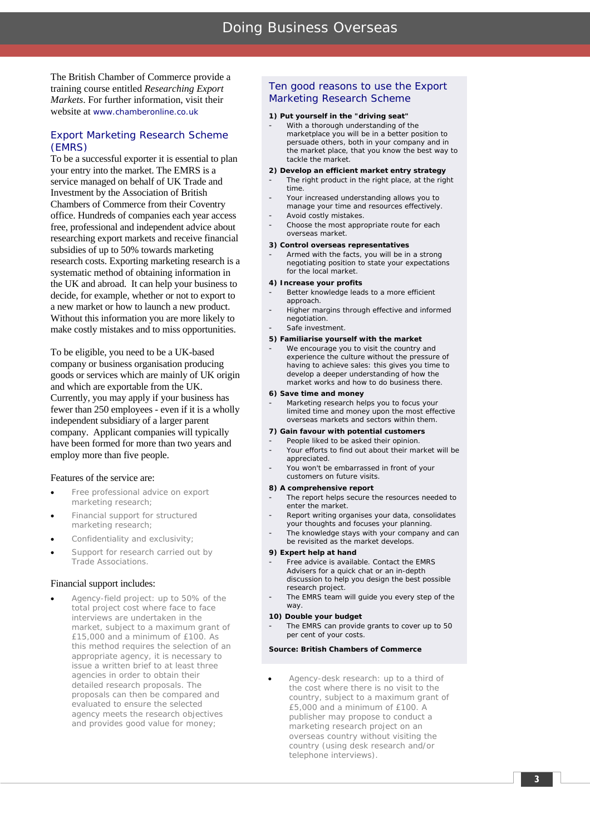The British Chamber of Commerce provide a training course entitled *Researching Export Markets*. For further information, visit their website at www.chamberonline.co.uk

### *Export Marketing Research Scheme (EMRS)*

To be a successful exporter it is essential to plan your entry into the market. The EMRS is a service managed on behalf of UK Trade and Investment by the Association of British Chambers of Commerce from their Coventry office. Hundreds of companies each year access free, professional and independent advice about researching export markets and receive financial subsidies of up to 50% towards marketing research costs. Exporting marketing research is a systematic method of obtaining information in the UK and abroad. It can help your business to decide, for example, whether or not to export to a new market or how to launch a new product. Without this information you are more likely to make costly mistakes and to miss opportunities.

To be eligible, you need to be a UK-based company or business organisation producing goods or services which are mainly of UK origin and which are exportable from the UK. Currently, you may apply if your business has fewer than 250 employees - even if it is a wholly independent subsidiary of a larger parent company. Applicant companies will typically have been formed for more than two years and employ more than five people.

### Features of the service are:

- Free professional advice on export marketing research;
- Financial support for structured marketing research;
- Confidentiality and exclusivity;
- Support for research carried out by Trade Associations.

### Financial support includes:

• Agency-field project: up to 50% of the total project cost where face to face interviews are undertaken in the market, subject to a maximum grant of £15,000 and a minimum of £100. As this method requires the selection of an appropriate agency, it is necessary to issue a written brief to at least three agencies in order to obtain their detailed research proposals. The proposals can then be compared and evaluated to ensure the selected agency meets the research objectives and provides good value for money;

### Ten good reasons to use the Export Marketing Research Scheme

### **1) Put yourself in the "driving seat"**

With a thorough understanding of the marketplace you will be in a better position to persuade others, both in your company and in the market place, that you know the best way to tackle the market.

### **2) Develop an efficient market entry strategy**

- The right product in the right place, at the right time. Your increased understanding allows you to
- manage your time and resources effectively.
- Avoid costly mistakes.
- Choose the most appropriate route for each overseas market.

### **3) Control overseas representatives**

Armed with the facts, you will be in a strong negotiating position to state your expectations for the local market.

### **4) Increase your profits**

- Better knowledge leads to a more efficient approach.
- Higher margins through effective and informed negotiation.
- Safe investment

### **5) Familiarise yourself with the market**

We encourage you to visit the country and experience the culture without the pressure of having to achieve sales: this gives you time to develop a deeper understanding of how the market works and how to do business there.

### **6) Save time and money**

Marketing research helps you to focus your limited time and money upon the most effective overseas markets and sectors within them.

### **7) Gain favour with potential customers**

- People liked to be asked their opinion. Your efforts to find out about their market will be appreciated.
- You won't be embarrassed in front of your customers on future visits.

### **8) A comprehensive report**

- The report helps secure the resources needed to enter the market.
- Report writing organises your data, consolidates your thoughts and focuses your planning.
- The knowledge stays with your company and can be revisited as the market develops.

### **9) Expert help at hand**

- Free advice is available. Contact the EMRS Advisers for a quick chat or an in-depth discussion to help you design the best possible research project.
- The EMRS team will guide you every step of the way.

### **10) Double your budget**

The EMRS can provide grants to cover up to 50 per cent of your costs.

### **Source: British Chambers of Commerce**

• Agency-desk research: up to a third of the cost where there is no visit to the country, subject to a maximum grant of £5,000 and a minimum of £100. A publisher may propose to conduct a marketing research project on an overseas country without visiting the country (using desk research and/or telephone interviews).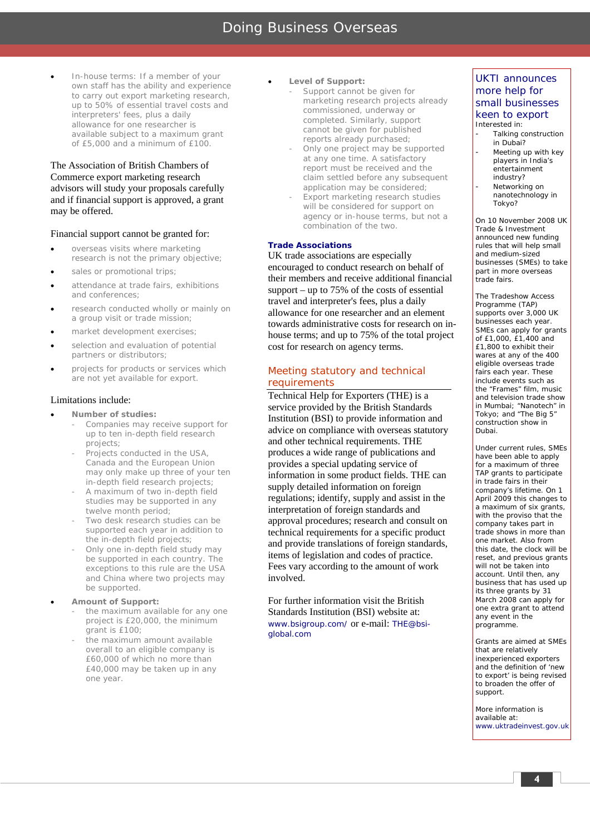### Doing Business Overseas

• In-house terms: If a member of your own staff has the ability and experience to carry out export marketing research, up to 50% of essential travel costs and interpreters' fees, plus a daily allowance for one researcher is available subject to a maximum grant of £5,000 and a minimum of £100.

The Association of British Chambers of Commerce export marketing research advisors will study your proposals carefully and if financial support is approved, a grant may be offered.

### Financial support cannot be granted for:

- overseas visits where marketing research is not the primary objective;
- sales or promotional trips;
- attendance at trade fairs, exhibitions and conferences;
- research conducted wholly or mainly on a group visit or trade mission;
- market development exercises;
- selection and evaluation of potential partners or distributors;
- projects for products or services which are not yet available for export.

### Limitations include:

- **Number of studies:**
	- Companies may receive support for up to ten in-depth field research projects;
	- Projects conducted in the USA, Canada and the European Union may only make up three of your ten in-depth field research projects;
	- A maximum of two in-depth field studies may be supported in any twelve month period;
	- Two desk research studies can be supported each year in addition to the in-depth field projects;
	- Only one in-depth field study may be supported in each country. The exceptions to this rule are the USA and China where two projects may be supported.
- **Amount of Support:** 
	- the maximum available for any one project is £20,000, the minimum grant is £100;
	- the maximum amount available overall to an eligible company is £60,000 of which no more than £40,000 may be taken up in any one year.

### Level of Support:

- Support cannot be given for marketing research projects already commissioned, underway or completed. Similarly, support cannot be given for published reports already purchased;
- Only one project may be supported at any one time. A satisfactory report must be received and the claim settled before any subsequent application may be considered;
- Export marketing research studies will be considered for support on agency or in-house terms, but not a combination of the two.

### **Trade Associations**

UK trade associations are especially encouraged to conduct research on behalf of their members and receive additional financial support – up to 75% of the costs of essential travel and interpreter's fees, plus a daily allowance for one researcher and an element towards administrative costs for research on inhouse terms; and up to 75% of the total project cost for research on agency terms.

### Meeting statutory and technical requirements

Technical Help for Exporters (THE) is a service provided by the British Standards Institution (BSI) to provide information and advice on compliance with overseas statutory and other technical requirements. THE produces a wide range of publications and provides a special updating service of information in some product fields. THE can supply detailed information on foreign regulations; identify, supply and assist in the interpretation of foreign standards and approval procedures; research and consult on technical requirements for a specific product and provide translations of foreign standards, items of legislation and codes of practice. Fees vary according to the amount of work involved.

For further information visit the British Standards Institution (BSI) website at: www.bsigroup.com/ or e-mail: THE@bsiglobal.com

### UKTI announces more help for small businesses keen to export Interested in:

- Talking construction in Dubai?
- Meeting up with key players in India's entertainment industry?
- Networking on nanotechnology in Tokyo?

On 10 November 2008 UK Trade & Investment announced new funding rules that will help small and medium-sized businesses (SMEs) to take part in more overseas trade fairs.

The Tradeshow Access Programme (TAP) supports over 3,000 UK businesses each year. SMEs can apply for grants of £1,000, £1,400 and £1,800 to exhibit their wares at any of the 400 eligible overseas trade fairs each year. These include events such as the "Frames" film, music and television trade show in Mumbai; "Nanotech" in Tokyo; and "The Big 5" construction show in Dubai.

Under current rules, SMEs have been able to apply for a maximum of three TAP grants to participate in trade fairs in their company's lifetime. On 1 April 2009 this changes to a maximum of six grants, with the proviso that the company takes part in trade shows in more than one market. Also from this date, the clock will be reset, and previous grants will not be taken into account. Until then, any business that has used up its three grants by 31 March 2008 can apply for one extra grant to attend any event in the programme.

Grants are aimed at SMEs that are relatively inexperienced exporters and the definition of 'new to export' is being revised to broaden the offer of support.

More information is available at: www.uktradeinvest.gov.uk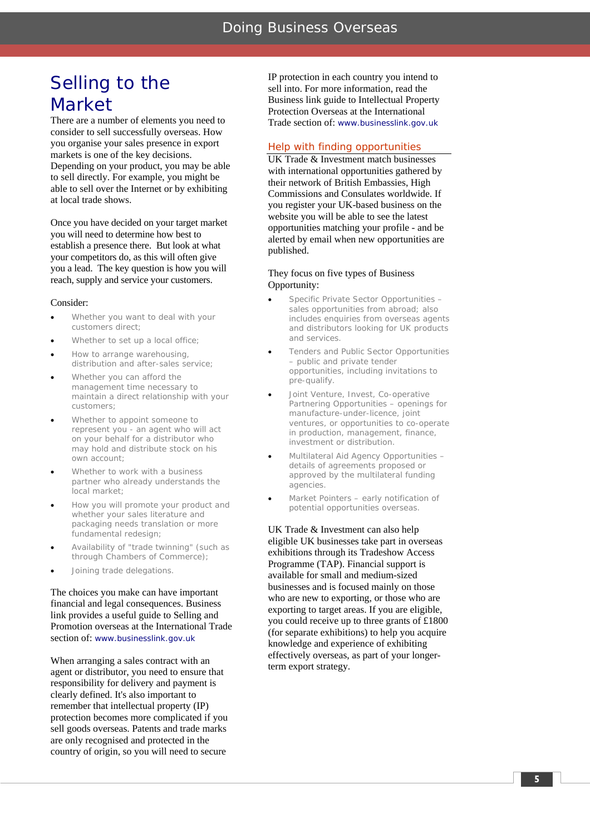### Selling to the Market

There are a number of elements you need to consider to sell successfully overseas. How you organise your sales presence in export markets is one of the key decisions. Depending on your product, you may be able to sell directly. For example, you might be able to sell over the Internet or by exhibiting at local trade shows.

Once you have decided on your target market you will need to determine how best to establish a presence there. But look at what your competitors do, as this will often give you a lead. The key question is how you will reach, supply and service your customers.

### Consider:

- Whether you want to deal with your customers direct;
- Whether to set up a local office:
- How to arrange warehousing, distribution and after-sales service;
- Whether you can afford the management time necessary to maintain a direct relationship with your customers;
- Whether to appoint someone to represent you - an agent who will act on your behalf for a distributor who may hold and distribute stock on his own account;
- Whether to work with a business partner who already understands the local market;
- How you will promote your product and whether your sales literature and packaging needs translation or more fundamental redesign;
- Availability of "trade twinning" (such as through Chambers of Commerce);
- Joining trade delegations.

The choices you make can have important financial and legal consequences. Business link provides a useful guide to Selling and Promotion overseas at the International Trade section of: www.businesslink.gov.uk

When arranging a sales contract with an agent or distributor, you need to ensure that responsibility for delivery and payment is clearly defined. It's also important to remember that intellectual property (IP) protection becomes more complicated if you sell goods overseas. Patents and trade marks are only recognised and protected in the country of origin, so you will need to secure

IP protection in each country you intend to sell into. For more information, read the Business link guide to Intellectual Property Protection Overseas at the International Trade section of: www.businesslink.gov.uk

### Help with finding opportunities

UK Trade & Investment match businesses with international opportunities gathered by their network of British Embassies, High Commissions and Consulates worldwide. If you register your UK-based business on the website you will be able to see the latest opportunities matching your profile - and be alerted by email when new opportunities are published.

### They focus on five types of Business Opportunity:

- Specific Private Sector Opportunities sales opportunities from abroad; also includes enquiries from overseas agents and distributors looking for UK products and services.
- Tenders and Public Sector Opportunities – public and private tender opportunities, including invitations to pre-qualify.
- Joint Venture, Invest, Co-operative Partnering Opportunities – openings for manufacture-under-licence, joint ventures, or opportunities to co-operate in production, management, finance, investment or distribution.
- Multilateral Aid Agency Opportunities details of agreements proposed or approved by the multilateral funding agencies.
- Market Pointers early notification of potential opportunities overseas.

UK Trade & Investment can also help eligible UK businesses take part in overseas exhibitions through its Tradeshow Access Programme (TAP). Financial support is available for small and medium-sized businesses and is focused mainly on those who are new to exporting, or those who are exporting to target areas. If you are eligible, you could receive up to three grants of £1800 (for separate exhibitions) to help you acquire knowledge and experience of exhibiting effectively overseas, as part of your longerterm export strategy.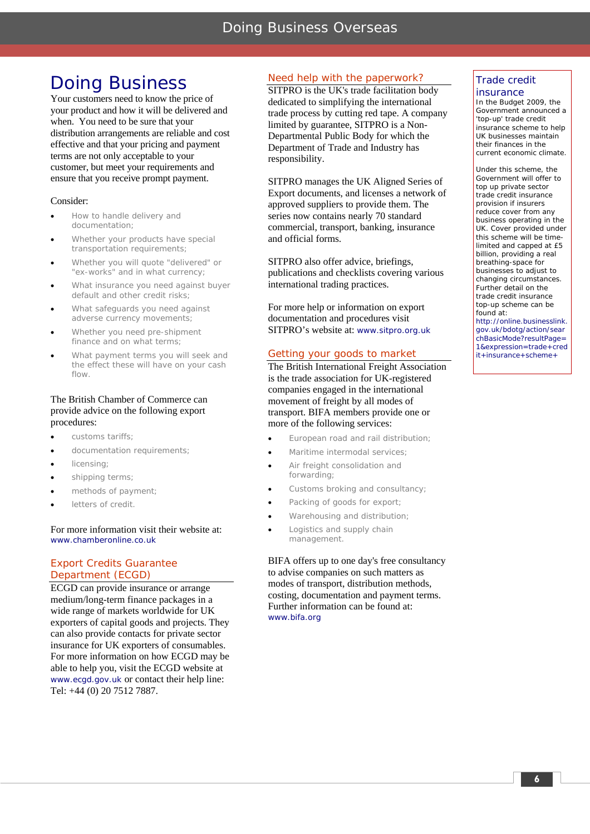## Doing Business

Your customers need to know the price of your product and how it will be delivered and when. You need to be sure that your distribution arrangements are reliable and cost effective and that your pricing and payment terms are not only acceptable to your customer, but meet your requirements and ensure that you receive prompt payment.

### Consider:

- How to handle delivery and documentation;
- Whether your products have special transportation requirements;
- Whether you will quote "delivered" or "ex-works" and in what currency;
- What insurance you need against buyer default and other credit risks;
- What safeguards you need against adverse currency movements;
- Whether you need pre-shipment finance and on what terms;
- What payment terms you will seek and the effect these will have on your cash flow.

### The British Chamber of Commerce can provide advice on the following export procedures:

- customs tariffs;
- documentation requirements;
- licensing;
- shipping terms;
- methods of payment;
- letters of credit.

### For more information visit their website at: www.chamberonline.co.uk

### Export Credits Guarantee Department (ECGD)

ECGD can provide insurance or arrange medium/long-term finance packages in a wide range of markets worldwide for UK exporters of capital goods and projects. They can also provide contacts for private sector insurance for UK exporters of consumables. For more information on how ECGD may be able to help you, visit the ECGD website at www.ecgd.gov.uk or contact their help line: Tel: +44 (0) 20 7512 7887.

### Need help with the paperwork?

SITPRO is the UK's trade facilitation body dedicated to simplifying the international trade process by cutting red tape. A company limited by guarantee, SITPRO is a Non-Departmental Public Body for which the Department of Trade and Industry has responsibility.

SITPRO manages the UK Aligned Series of Export documents, and licenses a network of approved suppliers to provide them. The series now contains nearly 70 standard commercial, transport, banking, insurance and official forms.

SITPRO also offer advice, briefings, publications and checklists covering various international trading practices.

For more help or information on export documentation and procedures visit SITPRO's website at: www.sitpro.org.uk

### Getting your goods to market

The British International Freight Association is the trade association for UK-registered companies engaged in the international movement of freight by all modes of transport. BIFA members provide one or more of the following services:

- European road and rail distribution;
- Maritime intermodal services:
- Air freight consolidation and forwarding;
- Customs broking and consultancy;
- Packing of goods for export;
- Warehousing and distribution;
- Logistics and supply chain management.

BIFA offers up to one day's free consultancy to advise companies on such matters as modes of transport, distribution methods, costing, documentation and payment terms. Further information can be found at: www.bifa.org

### Trade credit insurance

In the Budget 2009, the Government announced a 'top-up' trade credit insurance scheme to help UK businesses maintain their finances in the current economic climate.

Under this scheme, the Government will offer to top up private sector trade credit insurance provision if insurers reduce cover from any business operating in the UK. Cover provided under this scheme will be timelimited and capped at £5 billion, providing a real breathing-space for businesses to adjust to changing circumstances. Further detail on the trade credit insurance top-up scheme can be found at:

http://online.businesslink. gov.uk/bdotg/action/sear chBasicMode?resultPage= 1&expression=trade+cred it+insurance+scheme+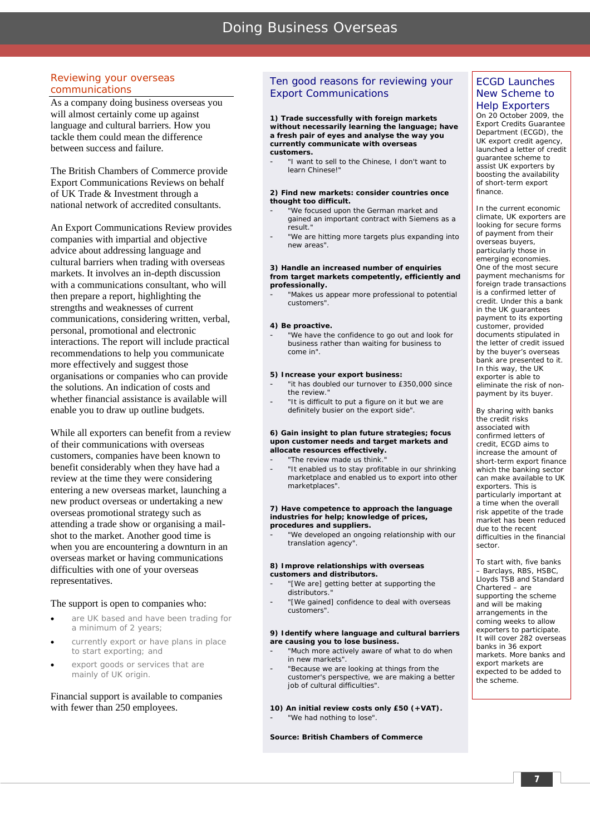### Reviewing your overseas communications

As a company doing business overseas you will almost certainly come up against language and cultural barriers. How you tackle them could mean the difference between success and failure.

The British Chambers of Commerce provide Export Communications Reviews on behalf of UK Trade & Investment through a national network of accredited consultants.

An Export Communications Review provides companies with impartial and objective advice about addressing language and cultural barriers when trading with overseas markets. It involves an in-depth discussion with a communications consultant, who will then prepare a report, highlighting the strengths and weaknesses of current communications, considering written, verbal, personal, promotional and electronic interactions. The report will include practical recommendations to help you communicate more effectively and suggest those organisations or companies who can provide the solutions. An indication of costs and whether financial assistance is available will enable you to draw up outline budgets.

While all exporters can benefit from a review of their communications with overseas customers, companies have been known to benefit considerably when they have had a review at the time they were considering entering a new overseas market, launching a new product overseas or undertaking a new overseas promotional strategy such as attending a trade show or organising a mailshot to the market. Another good time is when you are encountering a downturn in an overseas market or having communications difficulties with one of your overseas representatives.

### The support is open to companies who:

- are UK based and have been trading for a minimum of 2 years;
- currently export or have plans in place to start exporting; and
- export goods or services that are mainly of UK origin.

Financial support is available to companies with fewer than 250 employees.

### Ten good reasons for reviewing your Export Communications

**1) Trade successfully with foreign markets without necessarily learning the language; have a fresh pair of eyes and analyse the way you currently communicate with overseas customers.** 

"I want to sell to the Chinese, I don't want to learn Chinese!"

### **2) Find new markets: consider countries once thought too difficult.**

- "We focused upon the German market and gained an important contract with Siemens as a result."
- "We are hitting more targets plus expanding into new areas".

#### **3) Handle an increased number of enquiries from target markets competently, efficiently and professionally.**

"Makes us appear more professional to potential customers".

### **4) Be proactive.**

"We have the confidence to go out and look for business rather than waiting for business to come in".

### **5) Increase your export business:**

- "it has doubled our turnover to £350,000 since the review.
- "It is difficult to put a figure on it but we are definitely busier on the export side".

### **6) Gain insight to plan future strategies; focus upon customer needs and target markets and allocate resources effectively.**

"The review made us think.

"It enabled us to stay profitable in our shrinking marketplace and enabled us to export into other marketplaces".

#### **7) Have competence to approach the language industries for help; knowledge of prices, procedures and suppliers.**

"We developed an ongoing relationship with our translation agency".

### **8) Improve relationships with overseas customers and distributors.**

- "[We are] getting better at supporting the distributors.
- "[We gained] confidence to deal with overseas customers".

### **9) Identify where language and cultural barriers are causing you to lose business.**

- "Much more actively aware of what to do when in new markets".
- "Because we are looking at things from the customer's perspective, we are making a better job of cultural difficulties".

### **10) An initial review costs only £50 (+VAT).**

"We had nothing to lose".

### *Source: British Chambers of Commerce*

### ECGD Launches New Scheme to Help Exporters

On 20 October 2009, the Export Credits Guarantee Department (ECGD), the UK export credit agency, launched a letter of credit guarantee scheme to assist UK exporters by boosting the availability of short-term export finance.

In the current economic climate, UK exporters are looking for secure forms of payment from their overseas buyers, particularly those in emerging economies. One of the most secure payment mechanisms for foreign trade transactions is a confirmed letter of credit. Under this a bank in the UK guarantees payment to its exporting customer, provided documents stipulated in the letter of credit issued by the buyer's overseas bank are presented to it. In this way, the UK exporter is able to eliminate the risk of nonpayment by its buyer.

By sharing with banks the credit risks associated with confirmed letters of credit, ECGD aims to increase the amount of short-term export finance which the banking sector can make available to UK exporters. This is particularly important at a time when the overall risk appetite of the trade market has been reduced due to the recent difficulties in the financial sector.

To start with, five banks – Barclays, RBS, HSBC, Lloyds TSB and Standard Chartered – are supporting the scheme and will be making arrangements in the coming weeks to allow exporters to participate. It will cover 282 overseas banks in 36 export markets. More banks and export markets are expected to be added to the scheme.